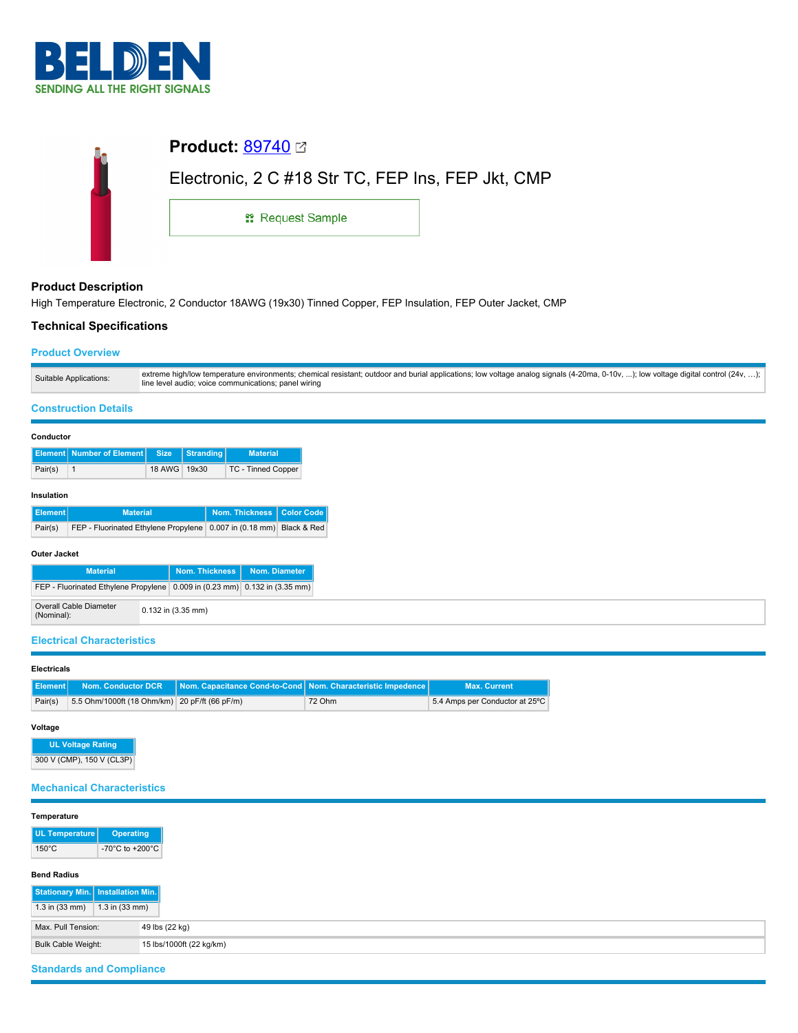

| <b>Product: 89740</b> ⊠                           |
|---------------------------------------------------|
| Electronic, 2 C #18 Str TC, FEP Ins, FEP Jkt, CMP |
| <sub>11</sub> Request Sample                      |
|                                                   |

# **Product Description**

High Temperature Electronic, 2 Conductor 18AWG (19x30) Tinned Copper, FEP Insulation, FEP Outer Jacket, CMP

# **Technical Specifications**

### **Product Overview**

| Suitable Applications: | extreme high/low temperature environments; chemical resistant; outdoor and burial applications; low voltage analog signals (4-20ma, 0-10v, ); low voltage digital control (24v, );<br>line level audio; voice communications; panel wiring |
|------------------------|--------------------------------------------------------------------------------------------------------------------------------------------------------------------------------------------------------------------------------------------|
|                        |                                                                                                                                                                                                                                            |

## **Construction Details**

#### **Conductor**

|         | <b>Element Number of Element Size Stranding</b> |              | <b>Material</b>    |
|---------|-------------------------------------------------|--------------|--------------------|
| Pair(s) |                                                 | 18 AWG 19x30 | TC - Tinned Copper |

### **Insulation**

| Element <sup>1</sup> | <b>Material</b>                                                     | Nom. Thickness   Color Code |  |
|----------------------|---------------------------------------------------------------------|-----------------------------|--|
| Pair(s)              | FEP - Fluorinated Ethylene Propylene 0.007 in (0.18 mm) Black & Red |                             |  |

#### **Outer Jacket**

| <b>Material</b>                                                                |  | Nom. Thickness Nom. Diameter |  |
|--------------------------------------------------------------------------------|--|------------------------------|--|
| FEP - Fluorinated Ethylene Propylene   0.009 in (0.23 mm)   0.132 in (3.35 mm) |  |                              |  |
| Overall Cable Diameter<br>(Nominal):                                           |  | $0.132$ in $(3.35$ mm)       |  |

#### **Electrical Characteristics**

#### **Electricals**

|         |                                               | Element   Nom. Conductor DCR   Nom. Capacitance Cond-to-Cond   Nom. Characteristic Impedence |        | <b>Max. Current</b>            |
|---------|-----------------------------------------------|----------------------------------------------------------------------------------------------|--------|--------------------------------|
| Pair(s) | 5.5 Ohm/1000ft (18 Ohm/km) 20 pF/ft (66 pF/m) |                                                                                              | 72 Ohm | 5.4 Amps per Conductor at 25°C |

# **Voltage**

**UL Voltage Rating** 300 V (CMP), 150 V (CL3P)

# **Mechanical Characteristics**

| Temperature                         |                                       |                          |
|-------------------------------------|---------------------------------------|--------------------------|
| UL Temperature                      | <b>Operating</b>                      |                          |
| $150^{\circ}$ C                     | -70 $^{\circ}$ C to +200 $^{\circ}$ C |                          |
| <b>Bend Radius</b>                  |                                       |                          |
| Stationary Min.   Installation Min. |                                       |                          |
| $1.3$ in $(33$ mm)                  | $1.3$ in $(33$ mm)                    |                          |
| Max. Pull Tension:                  |                                       | 49 lbs (22 kg)           |
| Bulk Cable Weight:                  |                                       | 15 lbs/1000ft (22 kg/km) |

# **Standards and Compliance**